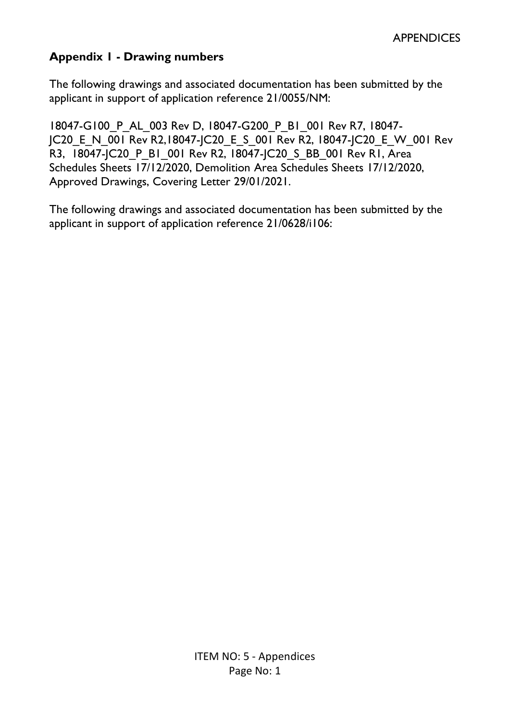# **Appendix 1 - Drawing numbers**

The following drawings and associated documentation has been submitted by the applicant in support of application reference 21/0055/NM:

18047-G100\_P\_AL\_003 Rev D, 18047-G200\_P\_B1\_001 Rev R7, 18047- JC20\_E\_N\_001 Rev R2,18047-JC20\_E\_S\_001 Rev R2, 18047-JC20\_E\_W\_001 Rev R3, 18047-JC20\_P\_B1\_001 Rev R2, 18047-JC20\_S\_BB\_001 Rev R1, Area Schedules Sheets 17/12/2020, Demolition Area Schedules Sheets 17/12/2020, Approved Drawings, Covering Letter 29/01/2021.

The following drawings and associated documentation has been submitted by the applicant in support of application reference 21/0628/i106: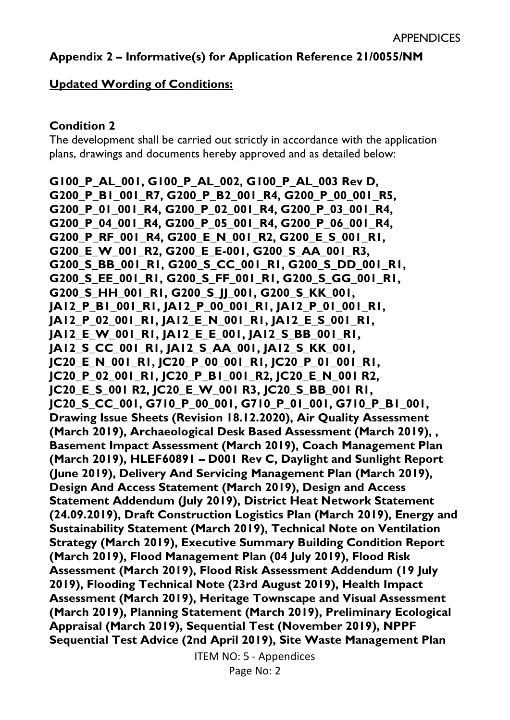# **Appendix 2 – Informative(s) for Application Reference 21/0055/NM**

#### **Updated Wording of Conditions:**

#### **Condition 2**

The development shall be carried out strictly in accordance with the application plans, drawings and documents hereby approved and as detailed below:

**G100\_P\_AL\_001, G100\_P\_AL\_002, G100\_P\_AL\_003 Rev D, G200\_P\_B1\_001\_R7, G200\_P\_B2\_001\_R4, G200\_P\_00\_001\_R5, G200\_P\_01\_001\_R4, G200\_P\_02\_001\_R4, G200\_P\_03\_001\_R4, G200\_P\_04\_001\_R4, G200\_P\_05\_001\_R4, G200\_P\_06\_001\_R4, G200\_P\_RF\_001\_R4, G200\_E\_N\_001\_R2, G200\_E\_S\_001\_R1, G200\_E\_W\_001\_R2, G200\_E\_E-001, G200\_S\_AA\_001\_R3, G200\_S\_BB\_001\_R1, G200\_S\_CC\_001\_R1, G200\_S\_DD\_001\_R1, G200\_S\_EE\_001\_R1, G200\_S\_FF\_001\_R1, G200\_S\_GG\_001\_R1, G200\_S\_HH\_001\_R1, G200\_S\_JJ\_001, G200\_S\_KK\_001, JA12\_P\_B1\_001\_R1, JA12\_P\_00\_001\_R1, JA12\_P\_01\_001\_R1, JA12\_P\_02\_001\_R1, JA12\_E\_N\_001\_R1, JA12\_E\_S\_001\_R1, JA12\_E\_W\_001\_R1, JA12\_E\_E\_001, JA12\_S\_BB\_001\_R1, JA12\_S\_CC\_001\_R1, JA12\_S\_AA\_001, JA12\_S\_KK\_001, JC20\_E\_N\_001\_R1, JC20\_P\_00\_001\_R1, JC20\_P\_01\_001\_R1, JC20\_P\_02\_001\_R1, JC20\_P\_B1\_001\_R2, JC20\_E\_N\_001 R2, JC20\_E\_S\_001 R2, JC20\_E\_W\_001 R3, JC20\_S\_BB\_001 R1, JC20\_S\_CC\_001, G710\_P\_00\_001, G710\_P\_01\_001, G710\_P\_B1\_001, Drawing Issue Sheets (Revision 18.12.2020), Air Quality Assessment (March 2019), Archaeological Desk Based Assessment (March 2019), , Basement Impact Assessment (March 2019), Coach Management Plan (March 2019), HLEF60891 – D001 Rev C, Daylight and Sunlight Report (June 2019), Delivery And Servicing Management Plan (March 2019), Design And Access Statement (March 2019), Design and Access Statement Addendum (July 2019), District Heat Network Statement (24.09.2019), Draft Construction Logistics Plan (March 2019), Energy and Sustainability Statement (March 2019), Technical Note on Ventilation Strategy (March 2019), Executive Summary Building Condition Report (March 2019), Flood Management Plan (04 July 2019), Flood Risk Assessment (March 2019), Flood Risk Assessment Addendum (19 July 2019), Flooding Technical Note (23rd August 2019), Health Impact Assessment (March 2019), Heritage Townscape and Visual Assessment (March 2019), Planning Statement (March 2019), Preliminary Ecological Appraisal (March 2019), Sequential Test (November 2019), NPPF Sequential Test Advice (2nd April 2019), Site Waste Management Plan** 

ITEM NO: 5 - Appendices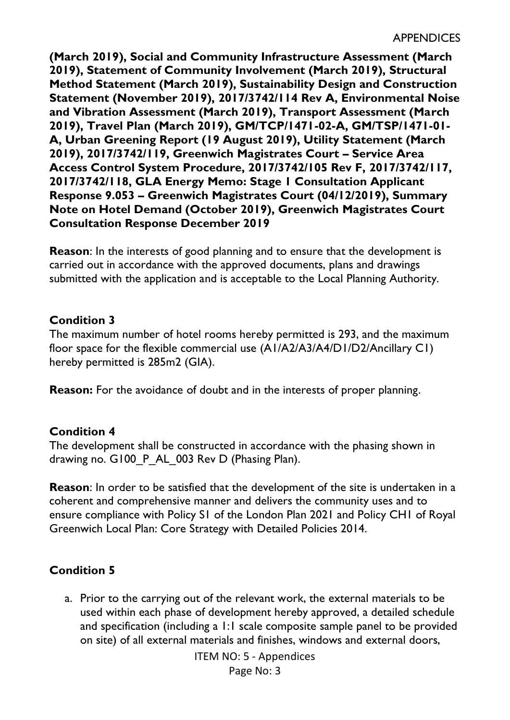**(March 2019), Social and Community Infrastructure Assessment (March 2019), Statement of Community Involvement (March 2019), Structural Method Statement (March 2019), Sustainability Design and Construction Statement (November 2019), 2017/3742/114 Rev A, Environmental Noise and Vibration Assessment (March 2019), Transport Assessment (March 2019), Travel Plan (March 2019), GM/TCP/1471-02-A, GM/TSP/1471-01- A, Urban Greening Report (19 August 2019), Utility Statement (March 2019), 2017/3742/119, Greenwich Magistrates Court – Service Area Access Control System Procedure, 2017/3742/105 Rev F, 2017/3742/117, 2017/3742/118, GLA Energy Memo: Stage 1 Consultation Applicant Response 9.053 – Greenwich Magistrates Court (04/12/2019), Summary Note on Hotel Demand (October 2019), Greenwich Magistrates Court Consultation Response December 2019** 

**Reason**: In the interests of good planning and to ensure that the development is carried out in accordance with the approved documents, plans and drawings submitted with the application and is acceptable to the Local Planning Authority.

## **Condition 3**

The maximum number of hotel rooms hereby permitted is 293, and the maximum floor space for the flexible commercial use (A1/A2/A3/A4/D1/D2/Ancillary C1) hereby permitted is 285m2 (GIA).

**Reason:** For the avoidance of doubt and in the interests of proper planning.

## **Condition 4**

The development shall be constructed in accordance with the phasing shown in drawing no. G100 P AL 003 Rev D (Phasing Plan).

**Reason**: In order to be satisfied that the development of the site is undertaken in a coherent and comprehensive manner and delivers the community uses and to ensure compliance with Policy S1 of the London Plan 2021 and Policy CH1 of Royal Greenwich Local Plan: Core Strategy with Detailed Policies 2014.

# **Condition 5**

a. Prior to the carrying out of the relevant work, the external materials to be used within each phase of development hereby approved, a detailed schedule and specification (including a 1:1 scale composite sample panel to be provided on site) of all external materials and finishes, windows and external doors,

ITEM NO: 5 - Appendices

Page No: 3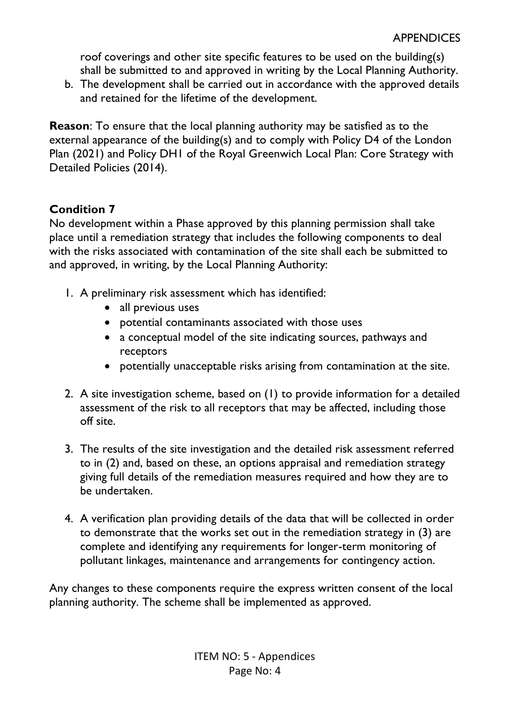roof coverings and other site specific features to be used on the building(s) shall be submitted to and approved in writing by the Local Planning Authority.

b. The development shall be carried out in accordance with the approved details and retained for the lifetime of the development.

**Reason**: To ensure that the local planning authority may be satisfied as to the external appearance of the building(s) and to comply with Policy D4 of the London Plan (2021) and Policy DH1 of the Royal Greenwich Local Plan: Core Strategy with Detailed Policies (2014).

# **Condition 7**

No development within a Phase approved by this planning permission shall take place until a remediation strategy that includes the following components to deal with the risks associated with contamination of the site shall each be submitted to and approved, in writing, by the Local Planning Authority:

- 1. A preliminary risk assessment which has identified:
	- all previous uses
	- potential contaminants associated with those uses
	- a conceptual model of the site indicating sources, pathways and receptors
	- potentially unacceptable risks arising from contamination at the site.
- 2. A site investigation scheme, based on (1) to provide information for a detailed assessment of the risk to all receptors that may be affected, including those off site.
- 3. The results of the site investigation and the detailed risk assessment referred to in (2) and, based on these, an options appraisal and remediation strategy giving full details of the remediation measures required and how they are to be undertaken.
- 4. A verification plan providing details of the data that will be collected in order to demonstrate that the works set out in the remediation strategy in (3) are complete and identifying any requirements for longer-term monitoring of pollutant linkages, maintenance and arrangements for contingency action.

Any changes to these components require the express written consent of the local planning authority. The scheme shall be implemented as approved.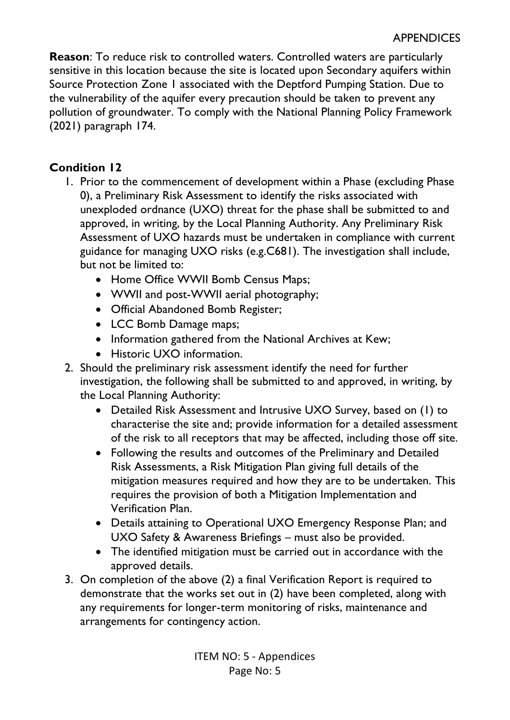**Reason**: To reduce risk to controlled waters. Controlled waters are particularly sensitive in this location because the site is located upon Secondary aquifers within Source Protection Zone 1 associated with the Deptford Pumping Station. Due to the vulnerability of the aquifer every precaution should be taken to prevent any pollution of groundwater. To comply with the National Planning Policy Framework (2021) paragraph 174.

# **Condition 12**

- 1. Prior to the commencement of development within a Phase (excluding Phase 0), a Preliminary Risk Assessment to identify the risks associated with unexploded ordnance (UXO) threat for the phase shall be submitted to and approved, in writing, by the Local Planning Authority. Any Preliminary Risk Assessment of UXO hazards must be undertaken in compliance with current guidance for managing UXO risks (e.g.C681). The investigation shall include, but not be limited to:
	- Home Office WWII Bomb Census Maps;
	- WWII and post-WWII aerial photography;
	- Official Abandoned Bomb Register;
	- LCC Bomb Damage maps;
	- Information gathered from the National Archives at Kew;
	- Historic UXO information.
- 2. Should the preliminary risk assessment identify the need for further investigation, the following shall be submitted to and approved, in writing, by the Local Planning Authority:
	- Detailed Risk Assessment and Intrusive UXO Survey, based on (1) to characterise the site and; provide information for a detailed assessment of the risk to all receptors that may be affected, including those off site.
	- Following the results and outcomes of the Preliminary and Detailed Risk Assessments, a Risk Mitigation Plan giving full details of the mitigation measures required and how they are to be undertaken. This requires the provision of both a Mitigation Implementation and Verification Plan.
	- Details attaining to Operational UXO Emergency Response Plan; and UXO Safety & Awareness Briefings – must also be provided.
	- The identified mitigation must be carried out in accordance with the approved details.
- 3. On completion of the above (2) a final Verification Report is required to demonstrate that the works set out in (2) have been completed, along with any requirements for longer-term monitoring of risks, maintenance and arrangements for contingency action.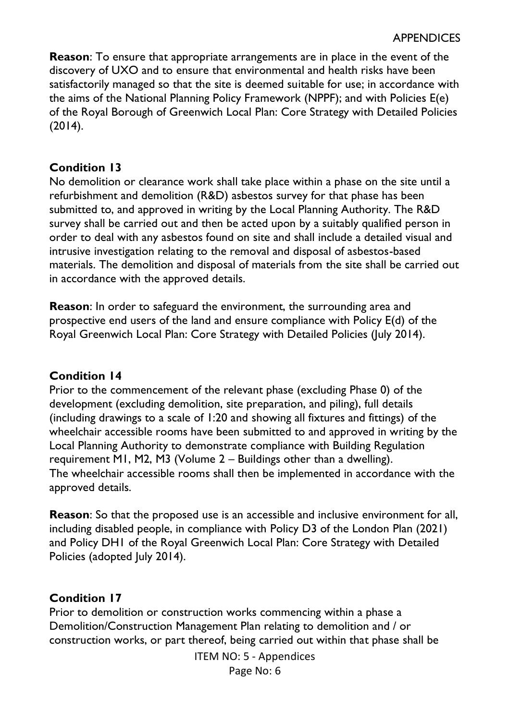**Reason**: To ensure that appropriate arrangements are in place in the event of the discovery of UXO and to ensure that environmental and health risks have been satisfactorily managed so that the site is deemed suitable for use; in accordance with the aims of the National Planning Policy Framework (NPPF); and with Policies E(e) of the Royal Borough of Greenwich Local Plan: Core Strategy with Detailed Policies (2014).

#### **Condition 13**

No demolition or clearance work shall take place within a phase on the site until a refurbishment and demolition (R&D) asbestos survey for that phase has been submitted to, and approved in writing by the Local Planning Authority. The R&D survey shall be carried out and then be acted upon by a suitably qualified person in order to deal with any asbestos found on site and shall include a detailed visual and intrusive investigation relating to the removal and disposal of asbestos-based materials. The demolition and disposal of materials from the site shall be carried out in accordance with the approved details.

**Reason**: In order to safeguard the environment, the surrounding area and prospective end users of the land and ensure compliance with Policy E(d) of the Royal Greenwich Local Plan: Core Strategy with Detailed Policies (July 2014).

#### **Condition 14**

Prior to the commencement of the relevant phase (excluding Phase 0) of the development (excluding demolition, site preparation, and piling), full details (including drawings to a scale of 1:20 and showing all fixtures and fittings) of the wheelchair accessible rooms have been submitted to and approved in writing by the Local Planning Authority to demonstrate compliance with Building Regulation requirement M1, M2, M3 (Volume 2 – Buildings other than a dwelling). The wheelchair accessible rooms shall then be implemented in accordance with the approved details.

**Reason**: So that the proposed use is an accessible and inclusive environment for all, including disabled people, in compliance with Policy D3 of the London Plan (2021) and Policy DH1 of the Royal Greenwich Local Plan: Core Strategy with Detailed Policies (adopted July 2014).

## **Condition 17**

Prior to demolition or construction works commencing within a phase a Demolition/Construction Management Plan relating to demolition and / or construction works, or part thereof, being carried out within that phase shall be

ITEM NO: 5 - Appendices

Page No: 6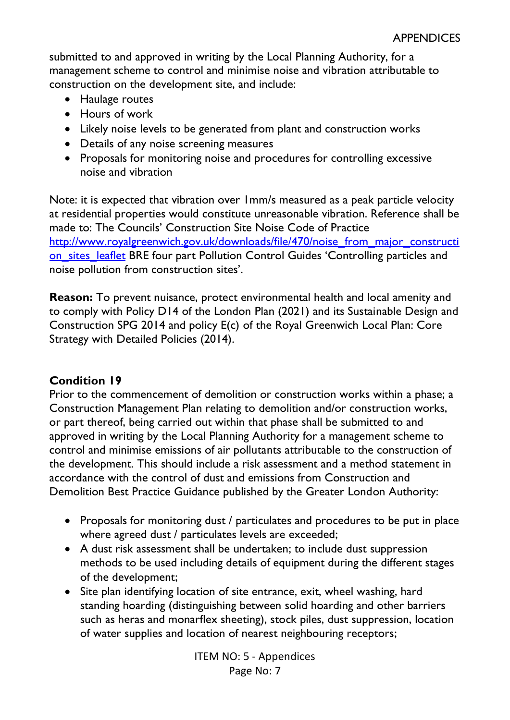submitted to and approved in writing by the Local Planning Authority, for a management scheme to control and minimise noise and vibration attributable to construction on the development site, and include:

- Haulage routes
- Hours of work
- Likely noise levels to be generated from plant and construction works
- Details of any noise screening measures
- Proposals for monitoring noise and procedures for controlling excessive noise and vibration

Note: it is expected that vibration over 1mm/s measured as a peak particle velocity at residential properties would constitute unreasonable vibration. Reference shall be made to: The Councils' Construction Site Noise Code of Practice [http://www.royalgreenwich.gov.uk/downloads/file/470/noise\\_from\\_major\\_constructi](http://www.royalgreenwich.gov.uk/downloads/file/470/noise_from_major_construction_sites_leaflet) on sites leaflet BRE four part Pollution Control Guides 'Controlling particles and noise pollution from construction sites'.

**Reason:** To prevent nuisance, protect environmental health and local amenity and to comply with Policy D14 of the London Plan (2021) and its Sustainable Design and Construction SPG 2014 and policy E(c) of the Royal Greenwich Local Plan: Core Strategy with Detailed Policies (2014).

## **Condition 19**

Prior to the commencement of demolition or construction works within a phase; a Construction Management Plan relating to demolition and/or construction works, or part thereof, being carried out within that phase shall be submitted to and approved in writing by the Local Planning Authority for a management scheme to control and minimise emissions of air pollutants attributable to the construction of the development. This should include a risk assessment and a method statement in accordance with the control of dust and emissions from Construction and Demolition Best Practice Guidance published by the Greater London Authority:

- Proposals for monitoring dust / particulates and procedures to be put in place where agreed dust / particulates levels are exceeded;
- A dust risk assessment shall be undertaken; to include dust suppression methods to be used including details of equipment during the different stages of the development;
- Site plan identifying location of site entrance, exit, wheel washing, hard standing hoarding (distinguishing between solid hoarding and other barriers such as heras and monarflex sheeting), stock piles, dust suppression, location of water supplies and location of nearest neighbouring receptors;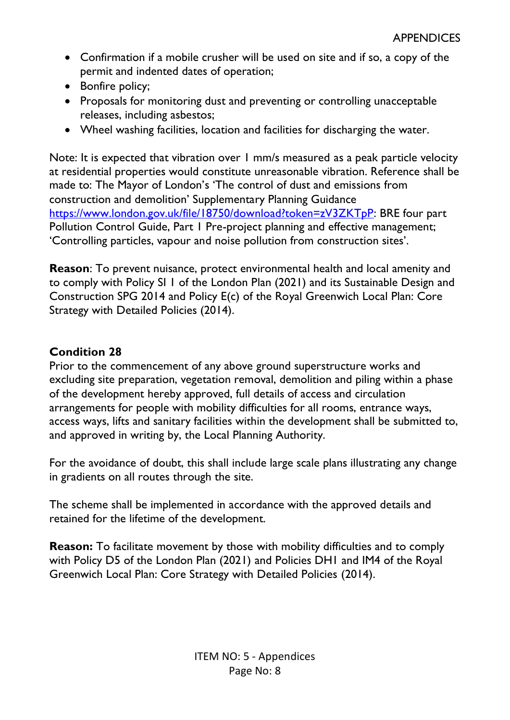- Confirmation if a mobile crusher will be used on site and if so, a copy of the permit and indented dates of operation;
- Bonfire policy;
- Proposals for monitoring dust and preventing or controlling unacceptable releases, including asbestos;
- Wheel washing facilities, location and facilities for discharging the water.

Note: It is expected that vibration over 1 mm/s measured as a peak particle velocity at residential properties would constitute unreasonable vibration. Reference shall be made to: The Mayor of London's 'The control of dust and emissions from construction and demolition' Supplementary Planning Guidance [https://www.london.gov.uk/file/18750/download?token=zV3ZKTpP:](https://www.london.gov.uk/file/18750/download?token=zV3ZKTpP) BRE four part Pollution Control Guide, Part 1 Pre-project planning and effective management; 'Controlling particles, vapour and noise pollution from construction sites'.

**Reason**: To prevent nuisance, protect environmental health and local amenity and to comply with Policy SI 1 of the London Plan (2021) and its Sustainable Design and Construction SPG 2014 and Policy E(c) of the Royal Greenwich Local Plan: Core Strategy with Detailed Policies (2014).

# **Condition 28**

Prior to the commencement of any above ground superstructure works and excluding site preparation, vegetation removal, demolition and piling within a phase of the development hereby approved, full details of access and circulation arrangements for people with mobility difficulties for all rooms, entrance ways, access ways, lifts and sanitary facilities within the development shall be submitted to, and approved in writing by, the Local Planning Authority.

For the avoidance of doubt, this shall include large scale plans illustrating any change in gradients on all routes through the site.

The scheme shall be implemented in accordance with the approved details and retained for the lifetime of the development.

**Reason:** To facilitate movement by those with mobility difficulties and to comply with Policy D5 of the London Plan (2021) and Policies DH1 and IM4 of the Royal Greenwich Local Plan: Core Strategy with Detailed Policies (2014).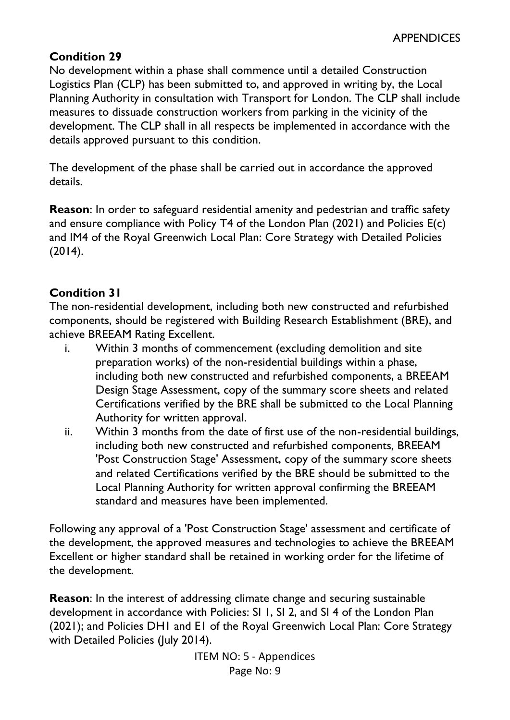## **Condition 29**

No development within a phase shall commence until a detailed Construction Logistics Plan (CLP) has been submitted to, and approved in writing by, the Local Planning Authority in consultation with Transport for London. The CLP shall include measures to dissuade construction workers from parking in the vicinity of the development. The CLP shall in all respects be implemented in accordance with the details approved pursuant to this condition.

The development of the phase shall be carried out in accordance the approved details.

**Reason**: In order to safeguard residential amenity and pedestrian and traffic safety and ensure compliance with Policy T4 of the London Plan (2021) and Policies E(c) and IM4 of the Royal Greenwich Local Plan: Core Strategy with Detailed Policies (2014).

# **Condition 31**

The non-residential development, including both new constructed and refurbished components, should be registered with Building Research Establishment (BRE), and achieve BREEAM Rating Excellent.

- i. Within 3 months of commencement (excluding demolition and site preparation works) of the non-residential buildings within a phase, including both new constructed and refurbished components, a BREEAM Design Stage Assessment, copy of the summary score sheets and related Certifications verified by the BRE shall be submitted to the Local Planning Authority for written approval.
- ii. Within 3 months from the date of first use of the non-residential buildings, including both new constructed and refurbished components, BREEAM 'Post Construction Stage' Assessment, copy of the summary score sheets and related Certifications verified by the BRE should be submitted to the Local Planning Authority for written approval confirming the BREEAM standard and measures have been implemented.

Following any approval of a 'Post Construction Stage' assessment and certificate of the development, the approved measures and technologies to achieve the BREEAM Excellent or higher standard shall be retained in working order for the lifetime of the development.

**Reason**: In the interest of addressing climate change and securing sustainable development in accordance with Policies: SI 1, SI 2, and SI 4 of the London Plan (2021); and Policies DH1 and E1 of the Royal Greenwich Local Plan: Core Strategy with Detailed Policies (July 2014).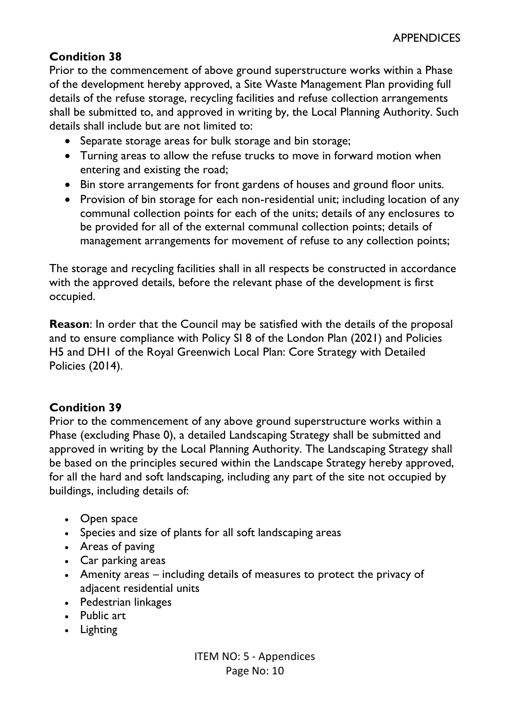# **Condition 38**

Prior to the commencement of above ground superstructure works within a Phase of the development hereby approved, a Site Waste Management Plan providing full details of the refuse storage, recycling facilities and refuse collection arrangements shall be submitted to, and approved in writing by, the Local Planning Authority. Such details shall include but are not limited to:

- Separate storage areas for bulk storage and bin storage;
- Turning areas to allow the refuse trucks to move in forward motion when entering and existing the road;
- Bin store arrangements for front gardens of houses and ground floor units.
- Provision of bin storage for each non-residential unit; including location of any communal collection points for each of the units; details of any enclosures to be provided for all of the external communal collection points; details of management arrangements for movement of refuse to any collection points;

The storage and recycling facilities shall in all respects be constructed in accordance with the approved details, before the relevant phase of the development is first occupied.

**Reason**: In order that the Council may be satisfied with the details of the proposal and to ensure compliance with Policy SI 8 of the London Plan (2021) and Policies H5 and DH1 of the Royal Greenwich Local Plan: Core Strategy with Detailed Policies (2014).

# **Condition 39**

Prior to the commencement of any above ground superstructure works within a Phase (excluding Phase 0), a detailed Landscaping Strategy shall be submitted and approved in writing by the Local Planning Authority. The Landscaping Strategy shall be based on the principles secured within the Landscape Strategy hereby approved, for all the hard and soft landscaping, including any part of the site not occupied by buildings, including details of:

- Open space
- Species and size of plants for all soft landscaping areas
- Areas of paving
- Car parking areas
- Amenity areas including details of measures to protect the privacy of adjacent residential units
- Pedestrian linkages
- Public art
- Lighting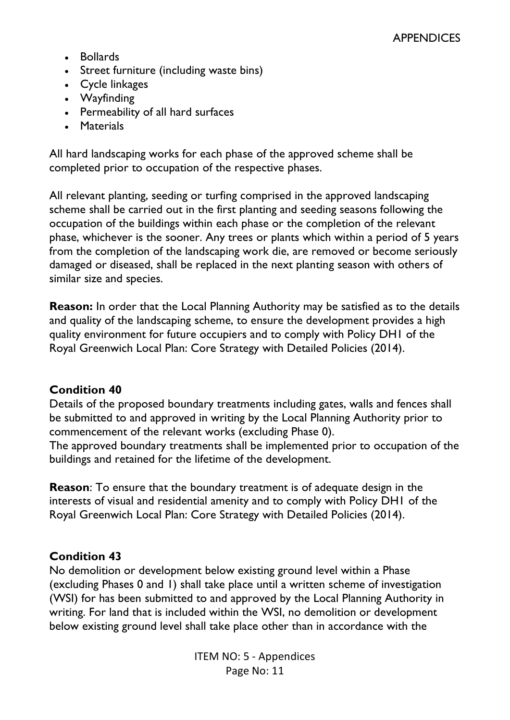- Bollards
- Street furniture (including waste bins)
- Cycle linkages
- Wayfinding
- Permeability of all hard surfaces
- Materials

All hard landscaping works for each phase of the approved scheme shall be completed prior to occupation of the respective phases.

All relevant planting, seeding or turfing comprised in the approved landscaping scheme shall be carried out in the first planting and seeding seasons following the occupation of the buildings within each phase or the completion of the relevant phase, whichever is the sooner. Any trees or plants which within a period of 5 years from the completion of the landscaping work die, are removed or become seriously damaged or diseased, shall be replaced in the next planting season with others of similar size and species.

**Reason:** In order that the Local Planning Authority may be satisfied as to the details and quality of the landscaping scheme, to ensure the development provides a high quality environment for future occupiers and to comply with Policy DH1 of the Royal Greenwich Local Plan: Core Strategy with Detailed Policies (2014).

#### **Condition 40**

Details of the proposed boundary treatments including gates, walls and fences shall be submitted to and approved in writing by the Local Planning Authority prior to commencement of the relevant works (excluding Phase 0).

The approved boundary treatments shall be implemented prior to occupation of the buildings and retained for the lifetime of the development.

**Reason**: To ensure that the boundary treatment is of adequate design in the interests of visual and residential amenity and to comply with Policy DH1 of the Royal Greenwich Local Plan: Core Strategy with Detailed Policies (2014).

#### **Condition 43**

No demolition or development below existing ground level within a Phase (excluding Phases 0 and 1) shall take place until a written scheme of investigation (WSI) for has been submitted to and approved by the Local Planning Authority in writing. For land that is included within the WSI, no demolition or development below existing ground level shall take place other than in accordance with the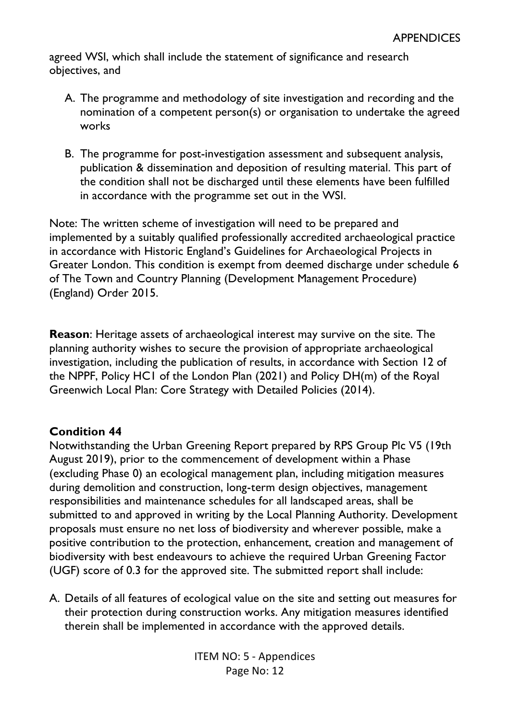agreed WSI, which shall include the statement of significance and research objectives, and

- A. The programme and methodology of site investigation and recording and the nomination of a competent person(s) or organisation to undertake the agreed works
- B. The programme for post-investigation assessment and subsequent analysis, publication & dissemination and deposition of resulting material. This part of the condition shall not be discharged until these elements have been fulfilled in accordance with the programme set out in the WSI.

Note: The written scheme of investigation will need to be prepared and implemented by a suitably qualified professionally accredited archaeological practice in accordance with Historic England's Guidelines for Archaeological Projects in Greater London. This condition is exempt from deemed discharge under schedule 6 of The Town and Country Planning (Development Management Procedure) (England) Order 2015.

**Reason**: Heritage assets of archaeological interest may survive on the site. The planning authority wishes to secure the provision of appropriate archaeological investigation, including the publication of results, in accordance with Section 12 of the NPPF, Policy HC1 of the London Plan (2021) and Policy DH(m) of the Royal Greenwich Local Plan: Core Strategy with Detailed Policies (2014).

## **Condition 44**

Notwithstanding the Urban Greening Report prepared by RPS Group Plc V5 (19th August 2019), prior to the commencement of development within a Phase (excluding Phase 0) an ecological management plan, including mitigation measures during demolition and construction, long-term design objectives, management responsibilities and maintenance schedules for all landscaped areas, shall be submitted to and approved in writing by the Local Planning Authority. Development proposals must ensure no net loss of biodiversity and wherever possible, make a positive contribution to the protection, enhancement, creation and management of biodiversity with best endeavours to achieve the required Urban Greening Factor (UGF) score of 0.3 for the approved site. The submitted report shall include:

A. Details of all features of ecological value on the site and setting out measures for their protection during construction works. Any mitigation measures identified therein shall be implemented in accordance with the approved details.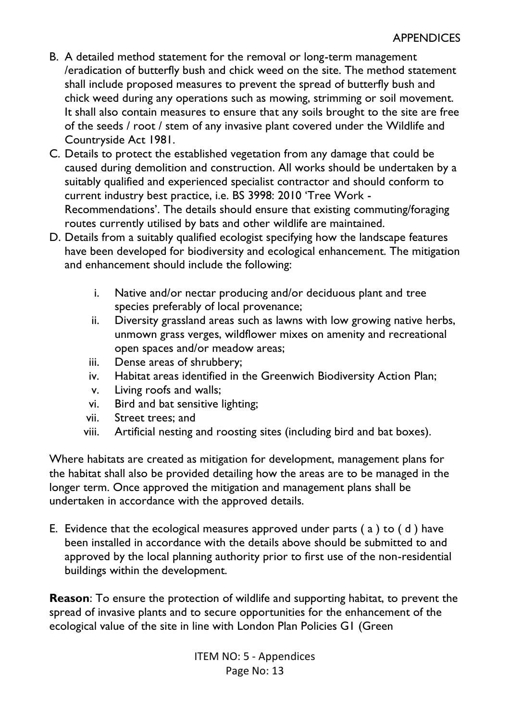- B. A detailed method statement for the removal or long-term management /eradication of butterfly bush and chick weed on the site. The method statement shall include proposed measures to prevent the spread of butterfly bush and chick weed during any operations such as mowing, strimming or soil movement. It shall also contain measures to ensure that any soils brought to the site are free of the seeds / root / stem of any invasive plant covered under the Wildlife and Countryside Act 1981.
- C. Details to protect the established vegetation from any damage that could be caused during demolition and construction. All works should be undertaken by a suitably qualified and experienced specialist contractor and should conform to current industry best practice, i.e. BS 3998: 2010 'Tree Work - Recommendations'. The details should ensure that existing commuting/foraging routes currently utilised by bats and other wildlife are maintained.
- D. Details from a suitably qualified ecologist specifying how the landscape features have been developed for biodiversity and ecological enhancement. The mitigation and enhancement should include the following:
	- i. Native and/or nectar producing and/or deciduous plant and tree species preferably of local provenance;
	- ii. Diversity grassland areas such as lawns with low growing native herbs, unmown grass verges, wildflower mixes on amenity and recreational open spaces and/or meadow areas;
	- iii. Dense areas of shrubbery;
	- iv. Habitat areas identified in the Greenwich Biodiversity Action Plan;
	- v. Living roofs and walls;
	- vi. Bird and bat sensitive lighting;
	- vii. Street trees; and
	- viii. Artificial nesting and roosting sites (including bird and bat boxes).

Where habitats are created as mitigation for development, management plans for the habitat shall also be provided detailing how the areas are to be managed in the longer term. Once approved the mitigation and management plans shall be undertaken in accordance with the approved details.

E. Evidence that the ecological measures approved under parts ( a ) to ( d ) have been installed in accordance with the details above should be submitted to and approved by the local planning authority prior to first use of the non-residential buildings within the development.

**Reason**: To ensure the protection of wildlife and supporting habitat, to prevent the spread of invasive plants and to secure opportunities for the enhancement of the ecological value of the site in line with London Plan Policies G1 (Green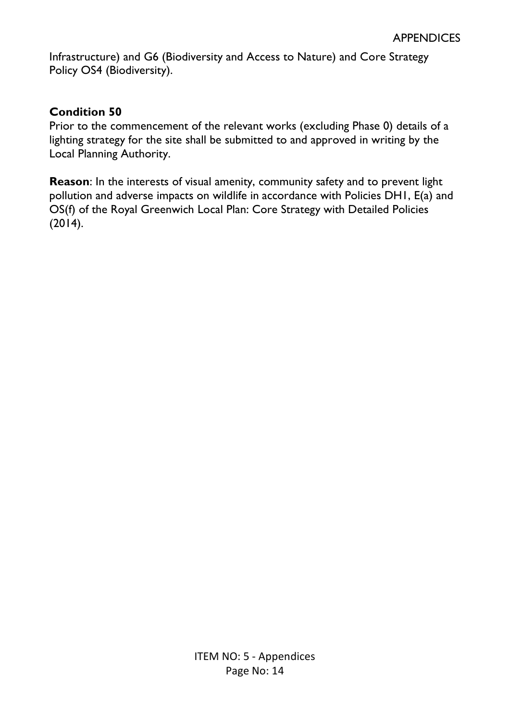Infrastructure) and G6 (Biodiversity and Access to Nature) and Core Strategy Policy OS4 (Biodiversity).

## **Condition 50**

Prior to the commencement of the relevant works (excluding Phase 0) details of a lighting strategy for the site shall be submitted to and approved in writing by the Local Planning Authority.

**Reason**: In the interests of visual amenity, community safety and to prevent light pollution and adverse impacts on wildlife in accordance with Policies DH1, E(a) and OS(f) of the Royal Greenwich Local Plan: Core Strategy with Detailed Policies (2014).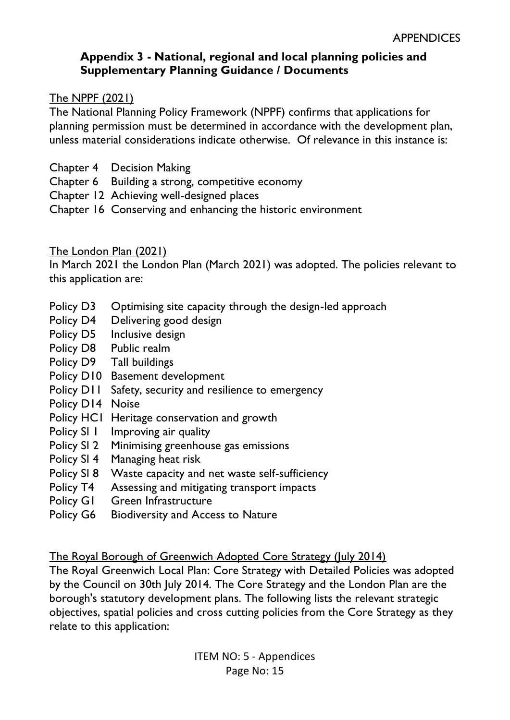# **Appendix 3 - National, regional and local planning policies and Supplementary Planning Guidance / Documents**

## The NPPF (2021)

The National Planning Policy Framework (NPPF) confirms that applications for planning permission must be determined in accordance with the development plan, unless material considerations indicate otherwise. Of relevance in this instance is:

- Chapter 4 Decision Making
- Chapter 6 Building a strong, competitive economy
- Chapter 12 Achieving well-designed places
- Chapter 16 Conserving and enhancing the historic environment

## The London Plan (2021)

In March 2021 the London Plan (March 2021) was adopted. The policies relevant to this application are:

- Policy D3 Optimising site capacity through the design-led approach
- Policy D4 Delivering good design
- Policy D5 Inclusive design
- Policy D8 Public realm
- Policy D9 Tall buildings
- Policy D10 Basement development
- Policy D11 Safety, security and resilience to emergency
- Policy D14 Noise
- Policy HC1 Heritage conservation and growth
- Policy SI 1 Improving air quality
- Policy SI 2 Minimising greenhouse gas emissions
- Policy SI 4 Managing heat risk
- Policy SI 8 Waste capacity and net waste self-sufficiency
- Policy T4 Assessing and mitigating transport impacts
- Policy G1 Green Infrastructure
- Policy G6 Biodiversity and Access to Nature

The Royal Borough of Greenwich Adopted Core Strategy (July 2014)

The Royal Greenwich Local Plan: Core Strategy with Detailed Policies was adopted by the Council on 30th July 2014. The Core Strategy and the London Plan are the borough's statutory development plans. The following lists the relevant strategic objectives, spatial policies and cross cutting policies from the Core Strategy as they relate to this application: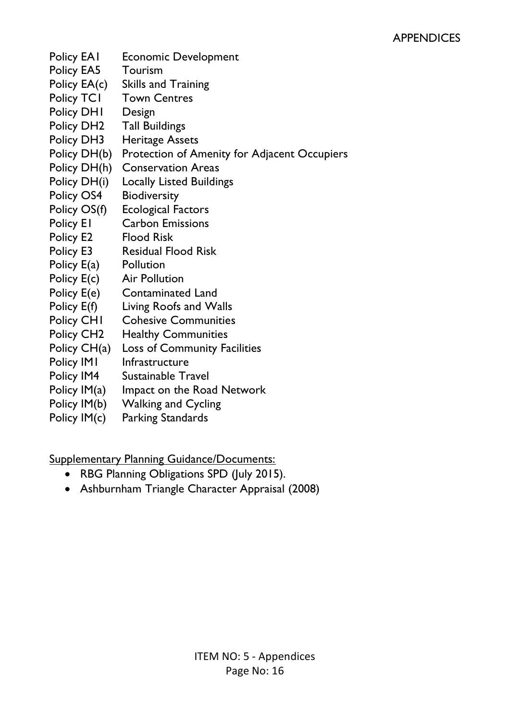- Policy EA1 Economic Development
- Policy EA5 Tourism
- Policy EA(c) Skills and Training
- Policy TCI Town Centres
- Policy DH1 Design
- Policy DH2 Tall Buildings
- Policy DH3 Heritage Assets
- Policy DH(b) Protection of Amenity for Adjacent Occupiers
- Policy DH(h) Conservation Areas
- Policy DH(i) Locally Listed Buildings
- Policy OS4 Biodiversity
- Policy OS(f) Ecological Factors
- Policy E1 Carbon Emissions
- Policy E2 Flood Risk
- Policy E3 Residual Flood Risk
- Policy E(a) Pollution
- Policy E(c) Air Pollution
- Policy E(e) Contaminated Land
- Policy E(f) Living Roofs and Walls
- Policy CH1 Cohesive Communities
- Policy CH2 Healthy Communities
- Policy CH(a) Loss of Community Facilities
- Policy IM1 Infrastructure
- Policy IM4 Sustainable Travel
- Policy IM(a) Impact on the Road Network
- Policy IM(b) Walking and Cycling
- Policy IM(c) Parking Standards

Supplementary Planning Guidance/Documents:

- RBG Planning Obligations SPD (July 2015).
- Ashburnham Triangle Character Appraisal (2008)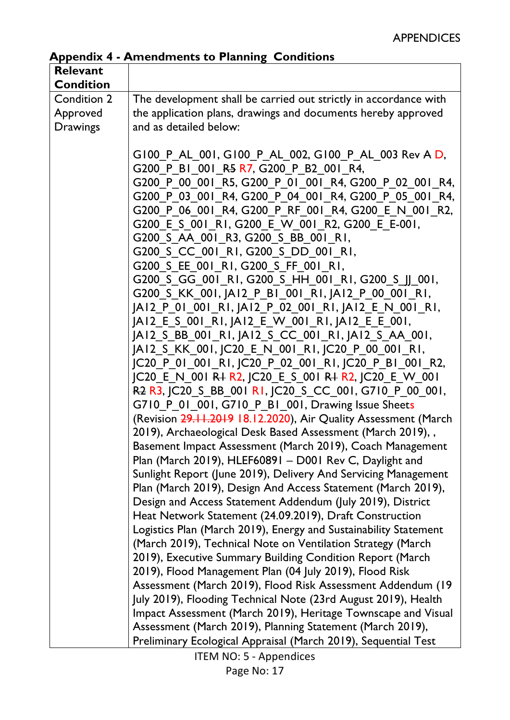**Appendix 4 - Amendments to Planning Conditions** 

| <b>Relevant</b>  |                                                                                                                                                                                                                                                                                                                                                                                                                                                                                                                                                                                                                                                                                                                   |
|------------------|-------------------------------------------------------------------------------------------------------------------------------------------------------------------------------------------------------------------------------------------------------------------------------------------------------------------------------------------------------------------------------------------------------------------------------------------------------------------------------------------------------------------------------------------------------------------------------------------------------------------------------------------------------------------------------------------------------------------|
|                  |                                                                                                                                                                                                                                                                                                                                                                                                                                                                                                                                                                                                                                                                                                                   |
| <b>Condition</b> |                                                                                                                                                                                                                                                                                                                                                                                                                                                                                                                                                                                                                                                                                                                   |
| Condition 2      | The development shall be carried out strictly in accordance with                                                                                                                                                                                                                                                                                                                                                                                                                                                                                                                                                                                                                                                  |
| Approved         | the application plans, drawings and documents hereby approved                                                                                                                                                                                                                                                                                                                                                                                                                                                                                                                                                                                                                                                     |
| <b>Drawings</b>  | and as detailed below:                                                                                                                                                                                                                                                                                                                                                                                                                                                                                                                                                                                                                                                                                            |
|                  |                                                                                                                                                                                                                                                                                                                                                                                                                                                                                                                                                                                                                                                                                                                   |
|                  | G100 P AL 001, G100 P AL 002, G100 P AL 003 Rev A D,                                                                                                                                                                                                                                                                                                                                                                                                                                                                                                                                                                                                                                                              |
|                  | G200 P BI 001 R5 R7, G200 P B2 001 R4,                                                                                                                                                                                                                                                                                                                                                                                                                                                                                                                                                                                                                                                                            |
|                  | G200 P 00 001 R5, G200 P 01 001 R4, G200 P 02 001 R4,                                                                                                                                                                                                                                                                                                                                                                                                                                                                                                                                                                                                                                                             |
|                  | G200 P 03 001 R4, G200 P 04 001 R4, G200 P 05 001 R4,                                                                                                                                                                                                                                                                                                                                                                                                                                                                                                                                                                                                                                                             |
|                  | G200 P 06 001 R4, G200 P RF 001 R4, G200 E N 001 R2,                                                                                                                                                                                                                                                                                                                                                                                                                                                                                                                                                                                                                                                              |
|                  | G200 E S 001 RI, G200 E W 001 R2, G200 E E-001,                                                                                                                                                                                                                                                                                                                                                                                                                                                                                                                                                                                                                                                                   |
|                  | G200 S AA 001 R3, G200 S BB 001 R1,                                                                                                                                                                                                                                                                                                                                                                                                                                                                                                                                                                                                                                                                               |
|                  | G200 S CC 001 RI, G200 S DD 001 RI,                                                                                                                                                                                                                                                                                                                                                                                                                                                                                                                                                                                                                                                                               |
|                  | G200 S EE 001 RI, G200 S FF 001 RI,                                                                                                                                                                                                                                                                                                                                                                                                                                                                                                                                                                                                                                                                               |
|                  | G200_S_GG_001_RI, G200_S_HH_001_RI, G200_S_JJ_001,                                                                                                                                                                                                                                                                                                                                                                                                                                                                                                                                                                                                                                                                |
|                  | G200 S KK 001, JA12 P BI 001 RI, JA12 P 00 001 RI,                                                                                                                                                                                                                                                                                                                                                                                                                                                                                                                                                                                                                                                                |
|                  |                                                                                                                                                                                                                                                                                                                                                                                                                                                                                                                                                                                                                                                                                                                   |
|                  | JAI2 P 01 001 RI, JAI2 P 02 001 RI, JAI2 E N 001 RI,                                                                                                                                                                                                                                                                                                                                                                                                                                                                                                                                                                                                                                                              |
|                  | JAI2 E S 001 RI, JAI2 E W 001 RI, JAI2 E E 001,                                                                                                                                                                                                                                                                                                                                                                                                                                                                                                                                                                                                                                                                   |
|                  | JAI2 S BB 001 RI, JAI2 S CC 001 RI, JAI2 S AA 001,                                                                                                                                                                                                                                                                                                                                                                                                                                                                                                                                                                                                                                                                |
|                  | JAI2 S KK 001, JC20 E N 001 RI, JC20 P 00 001 RI,                                                                                                                                                                                                                                                                                                                                                                                                                                                                                                                                                                                                                                                                 |
|                  | JC20_P_01_001_RI, JC20_P_02_001_RI, JC20_P_BI 001 R2,                                                                                                                                                                                                                                                                                                                                                                                                                                                                                                                                                                                                                                                             |
|                  | JC20 E N 001 R + R 2, JC20 E S 001 R + R 2, JC20 E W 001                                                                                                                                                                                                                                                                                                                                                                                                                                                                                                                                                                                                                                                          |
|                  | R <sub>2</sub> R <sub>3</sub> , JC <sub>20</sub> S BB 001 RI, JC <sub>20</sub> S CC 001, G <sub>710</sub> P 00 001,                                                                                                                                                                                                                                                                                                                                                                                                                                                                                                                                                                                               |
|                  | G710 P 01 001, G710 P B1 001, Drawing Issue Sheets                                                                                                                                                                                                                                                                                                                                                                                                                                                                                                                                                                                                                                                                |
|                  | (Revision 29.11.2019 18.12.2020), Air Quality Assessment (March                                                                                                                                                                                                                                                                                                                                                                                                                                                                                                                                                                                                                                                   |
|                  | 2019), Archaeological Desk Based Assessment (March 2019), ,                                                                                                                                                                                                                                                                                                                                                                                                                                                                                                                                                                                                                                                       |
|                  | Basement Impact Assessment (March 2019), Coach Management                                                                                                                                                                                                                                                                                                                                                                                                                                                                                                                                                                                                                                                         |
|                  | Plan (March 2019), HLEF60891 - D001 Rev C, Daylight and                                                                                                                                                                                                                                                                                                                                                                                                                                                                                                                                                                                                                                                           |
|                  | Sunlight Report (June 2019), Delivery And Servicing Management                                                                                                                                                                                                                                                                                                                                                                                                                                                                                                                                                                                                                                                    |
|                  | Plan (March 2019), Design And Access Statement (March 2019),                                                                                                                                                                                                                                                                                                                                                                                                                                                                                                                                                                                                                                                      |
|                  |                                                                                                                                                                                                                                                                                                                                                                                                                                                                                                                                                                                                                                                                                                                   |
|                  |                                                                                                                                                                                                                                                                                                                                                                                                                                                                                                                                                                                                                                                                                                                   |
|                  |                                                                                                                                                                                                                                                                                                                                                                                                                                                                                                                                                                                                                                                                                                                   |
|                  |                                                                                                                                                                                                                                                                                                                                                                                                                                                                                                                                                                                                                                                                                                                   |
|                  |                                                                                                                                                                                                                                                                                                                                                                                                                                                                                                                                                                                                                                                                                                                   |
|                  |                                                                                                                                                                                                                                                                                                                                                                                                                                                                                                                                                                                                                                                                                                                   |
|                  |                                                                                                                                                                                                                                                                                                                                                                                                                                                                                                                                                                                                                                                                                                                   |
|                  |                                                                                                                                                                                                                                                                                                                                                                                                                                                                                                                                                                                                                                                                                                                   |
|                  |                                                                                                                                                                                                                                                                                                                                                                                                                                                                                                                                                                                                                                                                                                                   |
|                  |                                                                                                                                                                                                                                                                                                                                                                                                                                                                                                                                                                                                                                                                                                                   |
|                  |                                                                                                                                                                                                                                                                                                                                                                                                                                                                                                                                                                                                                                                                                                                   |
|                  | Design and Access Statement Addendum (July 2019), District<br>Heat Network Statement (24.09.2019), Draft Construction<br>Logistics Plan (March 2019), Energy and Sustainability Statement<br>(March 2019), Technical Note on Ventilation Strategy (March<br>2019), Executive Summary Building Condition Report (March<br>2019), Flood Management Plan (04 July 2019), Flood Risk<br>Assessment (March 2019), Flood Risk Assessment Addendum (19<br>July 2019), Flooding Technical Note (23rd August 2019), Health<br>Impact Assessment (March 2019), Heritage Townscape and Visual<br>Assessment (March 2019), Planning Statement (March 2019),<br>Preliminary Ecological Appraisal (March 2019), Sequential Test |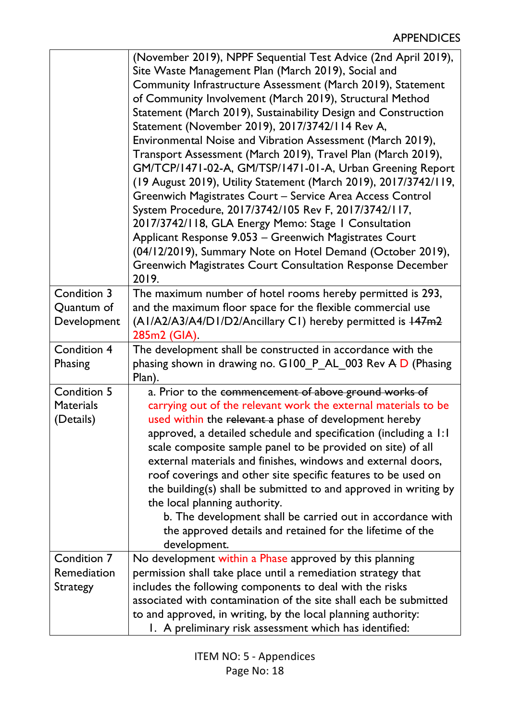|                                              | (November 2019), NPPF Sequential Test Advice (2nd April 2019),<br>Site Waste Management Plan (March 2019), Social and<br>Community Infrastructure Assessment (March 2019), Statement<br>of Community Involvement (March 2019), Structural Method<br>Statement (March 2019), Sustainability Design and Construction<br>Statement (November 2019), 2017/3742/114 Rev A,<br>Environmental Noise and Vibration Assessment (March 2019),<br>Transport Assessment (March 2019), Travel Plan (March 2019),<br>GM/TCP/1471-02-A, GM/TSP/1471-01-A, Urban Greening Report<br>(19 August 2019), Utility Statement (March 2019), 2017/3742/119,<br>Greenwich Magistrates Court - Service Area Access Control     |
|----------------------------------------------|-------------------------------------------------------------------------------------------------------------------------------------------------------------------------------------------------------------------------------------------------------------------------------------------------------------------------------------------------------------------------------------------------------------------------------------------------------------------------------------------------------------------------------------------------------------------------------------------------------------------------------------------------------------------------------------------------------|
|                                              | System Procedure, 2017/3742/105 Rev F, 2017/3742/117,<br>2017/3742/118, GLA Energy Memo: Stage 1 Consultation<br>Applicant Response 9.053 - Greenwich Magistrates Court<br>(04/12/2019), Summary Note on Hotel Demand (October 2019),<br><b>Greenwich Magistrates Court Consultation Response December</b><br>2019.                                                                                                                                                                                                                                                                                                                                                                                   |
| Condition 3<br>Quantum of<br>Development     | The maximum number of hotel rooms hereby permitted is 293,<br>and the maximum floor space for the flexible commercial use<br>(AI/A2/A3/A4/D1/D2/Ancillary C1) hereby permitted is 147m2<br>285m2 (GIA).                                                                                                                                                                                                                                                                                                                                                                                                                                                                                               |
| <b>Condition 4</b><br>Phasing                | The development shall be constructed in accordance with the<br>phasing shown in drawing no. G100 P_AL_003 Rev A D (Phasing<br>Plan).                                                                                                                                                                                                                                                                                                                                                                                                                                                                                                                                                                  |
| Condition 5<br><b>Materials</b><br>(Details) | a. Prior to the commencement of above ground works of<br>carrying out of the relevant work the external materials to be<br>used within the relevant a phase of development hereby<br>approved, a detailed schedule and specification (including a 1:1<br>scale composite sample panel to be provided on site) of all<br>external materials and finishes, windows and external doors,<br>roof coverings and other site specific features to be used on<br>the building(s) shall be submitted to and approved in writing by<br>the local planning authority.<br>b. The development shall be carried out in accordance with<br>the approved details and retained for the lifetime of the<br>development. |
| Condition 7<br>Remediation                   | No development within a Phase approved by this planning<br>permission shall take place until a remediation strategy that                                                                                                                                                                                                                                                                                                                                                                                                                                                                                                                                                                              |
| Strategy                                     | includes the following components to deal with the risks<br>associated with contamination of the site shall each be submitted<br>to and approved, in writing, by the local planning authority:<br>1. A preliminary risk assessment which has identified:                                                                                                                                                                                                                                                                                                                                                                                                                                              |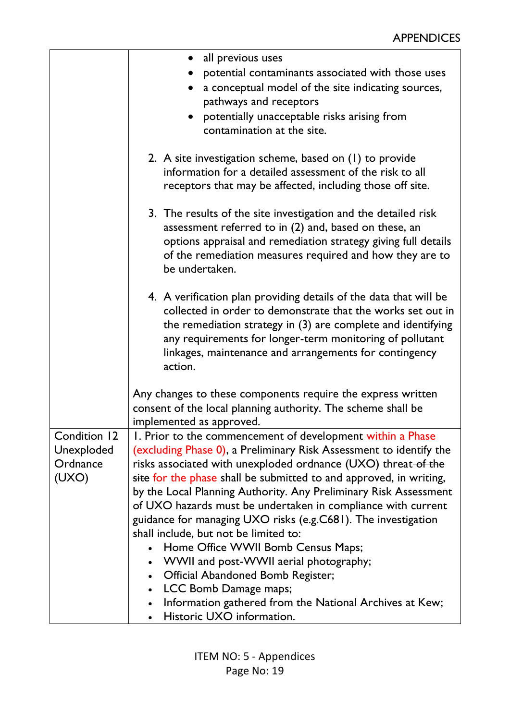|                                                 | all previous uses<br>potential contaminants associated with those uses<br>a conceptual model of the site indicating sources,<br>pathways and receptors<br>potentially unacceptable risks arising from<br>contamination at the site.                                                                                                                                                                                                                                                                                                                                                                                                                                                                                                                                                   |
|-------------------------------------------------|---------------------------------------------------------------------------------------------------------------------------------------------------------------------------------------------------------------------------------------------------------------------------------------------------------------------------------------------------------------------------------------------------------------------------------------------------------------------------------------------------------------------------------------------------------------------------------------------------------------------------------------------------------------------------------------------------------------------------------------------------------------------------------------|
|                                                 | 2. A site investigation scheme, based on (1) to provide<br>information for a detailed assessment of the risk to all<br>receptors that may be affected, including those off site.                                                                                                                                                                                                                                                                                                                                                                                                                                                                                                                                                                                                      |
|                                                 | 3. The results of the site investigation and the detailed risk<br>assessment referred to in (2) and, based on these, an<br>options appraisal and remediation strategy giving full details<br>of the remediation measures required and how they are to<br>be undertaken.                                                                                                                                                                                                                                                                                                                                                                                                                                                                                                               |
|                                                 | 4. A verification plan providing details of the data that will be<br>collected in order to demonstrate that the works set out in<br>the remediation strategy in $(3)$ are complete and identifying<br>any requirements for longer-term monitoring of pollutant<br>linkages, maintenance and arrangements for contingency<br>action.                                                                                                                                                                                                                                                                                                                                                                                                                                                   |
|                                                 | Any changes to these components require the express written<br>consent of the local planning authority. The scheme shall be<br>implemented as approved.                                                                                                                                                                                                                                                                                                                                                                                                                                                                                                                                                                                                                               |
| Condition 12<br>Unexploded<br>Ordnance<br>(UXO) | 1. Prior to the commencement of development within a Phase<br>(excluding Phase 0), a Preliminary Risk Assessment to identify the<br>risks associated with unexploded ordnance (UXO) threat-of the<br>site for the phase shall be submitted to and approved, in writing,<br>by the Local Planning Authority. Any Preliminary Risk Assessment<br>of UXO hazards must be undertaken in compliance with current<br>guidance for managing UXO risks (e.g.C681). The investigation<br>shall include, but not be limited to:<br>Home Office WWII Bomb Census Maps;<br>WWII and post-WWII aerial photography;<br>Official Abandoned Bomb Register;<br>LCC Bomb Damage maps;<br>$\bullet$<br>Information gathered from the National Archives at Kew;<br>$\bullet$<br>Historic UXO information. |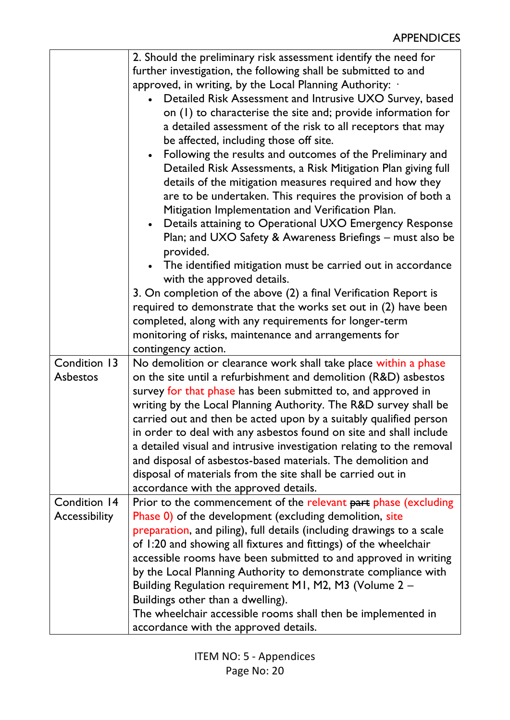|               | 2. Should the preliminary risk assessment identify the need for        |
|---------------|------------------------------------------------------------------------|
|               | further investigation, the following shall be submitted to and         |
|               | approved, in writing, by the Local Planning Authority: .               |
|               | Detailed Risk Assessment and Intrusive UXO Survey, based               |
|               | on (1) to characterise the site and; provide information for           |
|               | a detailed assessment of the risk to all receptors that may            |
|               | be affected, including those off site.                                 |
|               | Following the results and outcomes of the Preliminary and<br>$\bullet$ |
|               | Detailed Risk Assessments, a Risk Mitigation Plan giving full          |
|               | details of the mitigation measures required and how they               |
|               | are to be undertaken. This requires the provision of both a            |
|               | Mitigation Implementation and Verification Plan.                       |
|               | • Details attaining to Operational UXO Emergency Response              |
|               | Plan; and UXO Safety & Awareness Briefings – must also be              |
|               | provided.                                                              |
|               | • The identified mitigation must be carried out in accordance          |
|               | with the approved details.                                             |
|               | 3. On completion of the above (2) a final Verification Report is       |
|               | required to demonstrate that the works set out in (2) have been        |
|               | completed, along with any requirements for longer-term                 |
|               | monitoring of risks, maintenance and arrangements for                  |
|               | contingency action.                                                    |
| Condition 13  | No demolition or clearance work shall take place within a phase        |
| Asbestos      | on the site until a refurbishment and demolition (R&D) asbestos        |
|               | survey for that phase has been submitted to, and approved in           |
|               | writing by the Local Planning Authority. The R&D survey shall be       |
|               | carried out and then be acted upon by a suitably qualified person      |
|               |                                                                        |
|               | in order to deal with any asbestos found on site and shall include     |
|               | a detailed visual and intrusive investigation relating to the removal  |
|               | and disposal of asbestos-based materials. The demolition and           |
|               | disposal of materials from the site shall be carried out in            |
|               | accordance with the approved details.                                  |
| Condition 14  | Prior to the commencement of the relevant part phase (excluding        |
| Accessibility | Phase 0) of the development (excluding demolition, site                |
|               | preparation, and piling), full details (including drawings to a scale  |
|               | of 1:20 and showing all fixtures and fittings) of the wheelchair       |
|               | accessible rooms have been submitted to and approved in writing        |
|               | by the Local Planning Authority to demonstrate compliance with         |
|               | Building Regulation requirement M1, M2, M3 (Volume 2 -                 |
|               | Buildings other than a dwelling).                                      |
|               | The wheelchair accessible rooms shall then be implemented in           |
|               | accordance with the approved details.                                  |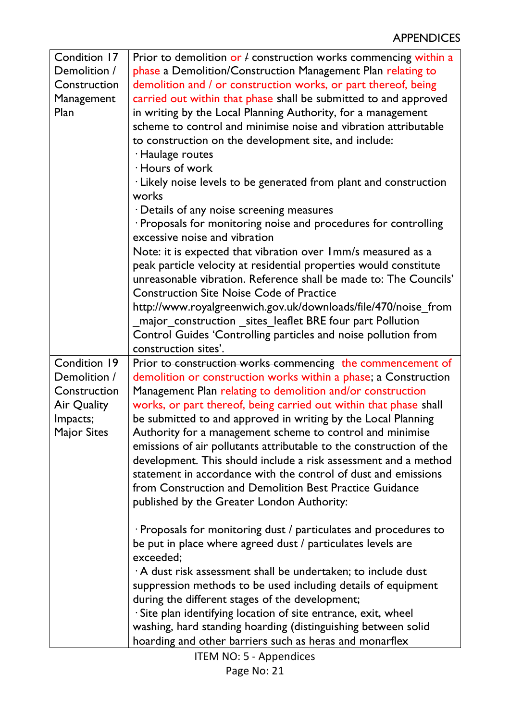| Condition 17 | Prior to demolition or $\ell$ construction works commencing within a                                                     |
|--------------|--------------------------------------------------------------------------------------------------------------------------|
| Demolition / | phase a Demolition/Construction Management Plan relating to                                                              |
| Construction | demolition and / or construction works, or part thereof, being                                                           |
| Management   | carried out within that phase shall be submitted to and approved                                                         |
| Plan         | in writing by the Local Planning Authority, for a management                                                             |
|              | scheme to control and minimise noise and vibration attributable                                                          |
|              | to construction on the development site, and include:                                                                    |
|              | · Haulage routes                                                                                                         |
|              | · Hours of work                                                                                                          |
|              | · Likely noise levels to be generated from plant and construction                                                        |
|              | works                                                                                                                    |
|              | · Details of any noise screening measures                                                                                |
|              | · Proposals for monitoring noise and procedures for controlling                                                          |
|              | excessive noise and vibration                                                                                            |
|              | Note: it is expected that vibration over 1mm/s measured as a                                                             |
|              | peak particle velocity at residential properties would constitute                                                        |
|              | unreasonable vibration. Reference shall be made to: The Councils'                                                        |
|              | <b>Construction Site Noise Code of Practice</b>                                                                          |
|              | http://www.royalgreenwich.gov.uk/downloads/file/470/noise_from                                                           |
|              | major_construction _sites_leaflet BRE four part Pollution                                                                |
|              | Control Guides 'Controlling particles and noise pollution from                                                           |
|              | construction sites'.                                                                                                     |
| Condition 19 | Prior to construction works commencing the commencement of                                                               |
| Demolition / | demolition or construction works within a phase; a Construction                                                          |
| Construction | Management Plan relating to demolition and/or construction                                                               |
| Air Quality  | works, or part thereof, being carried out within that phase shall                                                        |
| Impacts;     | be submitted to and approved in writing by the Local Planning                                                            |
| Major Sites  | Authority for a management scheme to control and minimise                                                                |
|              | emissions of air pollutants attributable to the construction of the                                                      |
|              | development. This should include a risk assessment and a method                                                          |
|              | statement in accordance with the control of dust and emissions                                                           |
|              | from Construction and Demolition Best Practice Guidance                                                                  |
|              | published by the Greater London Authority:                                                                               |
|              |                                                                                                                          |
|              | · Proposals for monitoring dust / particulates and procedures to                                                         |
|              | be put in place where agreed dust / particulates levels are                                                              |
|              | exceeded:                                                                                                                |
|              | $\cdot$ A dust risk assessment shall be undertaken; to include dust                                                      |
|              | suppression methods to be used including details of equipment                                                            |
|              | during the different stages of the development;                                                                          |
|              | · Site plan identifying location of site entrance, exit, wheel                                                           |
|              | washing, hard standing hoarding (distinguishing between solid<br>hoarding and other barriers such as heras and monarflex |
|              |                                                                                                                          |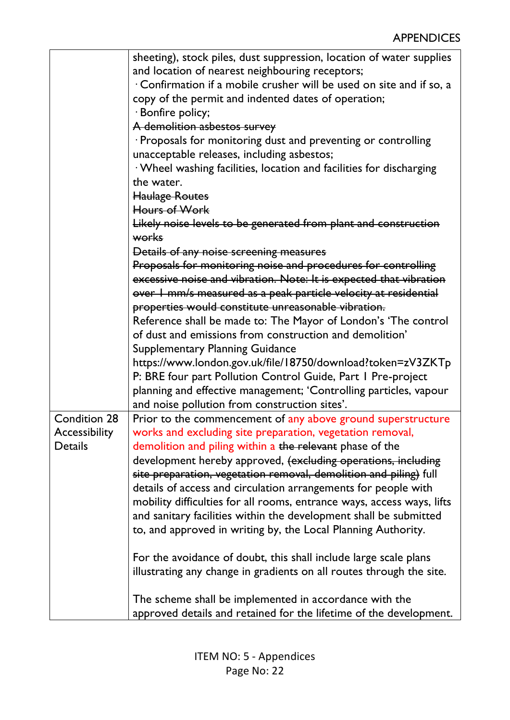|                     | sheeting), stock piles, dust suppression, location of water supplies   |
|---------------------|------------------------------------------------------------------------|
|                     | and location of nearest neighbouring receptors;                        |
|                     | Confirmation if a mobile crusher will be used on site and if so, a     |
|                     | copy of the permit and indented dates of operation;                    |
|                     | · Bonfire policy;                                                      |
|                     | A demolition asbestos survey                                           |
|                     | · Proposals for monitoring dust and preventing or controlling          |
|                     | unacceptable releases, including asbestos;                             |
|                     | · Wheel washing facilities, location and facilities for discharging    |
|                     | the water.                                                             |
|                     | <b>Haulage Routes</b>                                                  |
|                     | Hours of Work                                                          |
|                     | Likely noise levels to be generated from plant and construction        |
|                     | works                                                                  |
|                     | Details of any noise screening measures                                |
|                     | Proposals for monitoring noise and procedures for controlling          |
|                     | excessive noise and vibration. Note: It is expected that vibration     |
|                     | over I mm/s measured as a peak particle velocity at residential        |
|                     | properties would constitute unreasonable vibration.                    |
|                     | Reference shall be made to: The Mayor of London's 'The control         |
|                     | of dust and emissions from construction and demolition'                |
|                     | <b>Supplementary Planning Guidance</b>                                 |
|                     | https://www.london.gov.uk/file/18750/download?token=zV3ZKTp            |
|                     | P: BRE four part Pollution Control Guide, Part I Pre-project           |
|                     |                                                                        |
|                     | planning and effective management; 'Controlling particles, vapour      |
|                     | and noise pollution from construction sites'.                          |
| <b>Condition 28</b> | Prior to the commencement of any above ground superstructure           |
| Accessibility       | works and excluding site preparation, vegetation removal,              |
| Details             | demolition and piling within a the relevant phase of the               |
|                     | development hereby approved, (excluding operations, including          |
|                     | site preparation, vegetation removal, demolition and piling) full      |
|                     | details of access and circulation arrangements for people with         |
|                     | mobility difficulties for all rooms, entrance ways, access ways, lifts |
|                     | and sanitary facilities within the development shall be submitted      |
|                     | to, and approved in writing by, the Local Planning Authority.          |
|                     | For the avoidance of doubt, this shall include large scale plans       |
|                     | illustrating any change in gradients on all routes through the site.   |
|                     | The scheme shall be implemented in accordance with the                 |
|                     | approved details and retained for the lifetime of the development.     |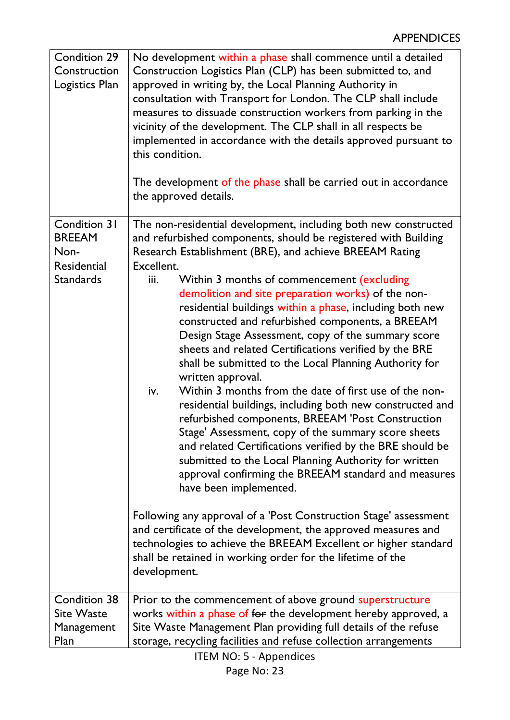| Condition 29<br>Construction<br>Logistics Plan | No development within a phase shall commence until a detailed<br>Construction Logistics Plan (CLP) has been submitted to, and<br>approved in writing by, the Local Planning Authority in<br>consultation with Transport for London. The CLP shall include<br>measures to dissuade construction workers from parking in the<br>vicinity of the development. The CLP shall in all respects be<br>implemented in accordance with the details approved pursuant to<br>this condition.<br>The development of the phase shall be carried out in accordance<br>the approved details.                                                                                                                                                                                                                                                                                           |
|------------------------------------------------|-------------------------------------------------------------------------------------------------------------------------------------------------------------------------------------------------------------------------------------------------------------------------------------------------------------------------------------------------------------------------------------------------------------------------------------------------------------------------------------------------------------------------------------------------------------------------------------------------------------------------------------------------------------------------------------------------------------------------------------------------------------------------------------------------------------------------------------------------------------------------|
| <b>Condition 31</b>                            | The non-residential development, including both new constructed                                                                                                                                                                                                                                                                                                                                                                                                                                                                                                                                                                                                                                                                                                                                                                                                         |
| <b>BREEAM</b>                                  | and refurbished components, should be registered with Building                                                                                                                                                                                                                                                                                                                                                                                                                                                                                                                                                                                                                                                                                                                                                                                                          |
| Non-                                           | Research Establishment (BRE), and achieve BREEAM Rating                                                                                                                                                                                                                                                                                                                                                                                                                                                                                                                                                                                                                                                                                                                                                                                                                 |
| Residential                                    | Excellent.                                                                                                                                                                                                                                                                                                                                                                                                                                                                                                                                                                                                                                                                                                                                                                                                                                                              |
| <b>Standards</b>                               | Within 3 months of commencement (excluding<br>iii.<br>demolition and site preparation works) of the non-<br>residential buildings within a phase, including both new<br>constructed and refurbished components, a BREEAM<br>Design Stage Assessment, copy of the summary score<br>sheets and related Certifications verified by the BRE<br>shall be submitted to the Local Planning Authority for<br>written approval.<br>Within 3 months from the date of first use of the non-<br>iv.<br>residential buildings, including both new constructed and<br>refurbished components, BREEAM 'Post Construction<br>Stage' Assessment, copy of the summary score sheets<br>and related Certifications verified by the BRE should be<br>submitted to the Local Planning Authority for written<br>approval confirming the BREEAM standard and measures<br>have been implemented. |
|                                                | Following any approval of a 'Post Construction Stage' assessment<br>and certificate of the development, the approved measures and<br>technologies to achieve the BREEAM Excellent or higher standard<br>shall be retained in working order for the lifetime of the<br>development.                                                                                                                                                                                                                                                                                                                                                                                                                                                                                                                                                                                      |
| Condition 38                                   | Prior to the commencement of above ground superstructure                                                                                                                                                                                                                                                                                                                                                                                                                                                                                                                                                                                                                                                                                                                                                                                                                |
| <b>Site Waste</b>                              | works within a phase of for the development hereby approved, a                                                                                                                                                                                                                                                                                                                                                                                                                                                                                                                                                                                                                                                                                                                                                                                                          |
| Management                                     | Site Waste Management Plan providing full details of the refuse                                                                                                                                                                                                                                                                                                                                                                                                                                                                                                                                                                                                                                                                                                                                                                                                         |
| Plan                                           | storage, recycling facilities and refuse collection arrangements<br><b>ITEM NO: 5 - Appendices</b>                                                                                                                                                                                                                                                                                                                                                                                                                                                                                                                                                                                                                                                                                                                                                                      |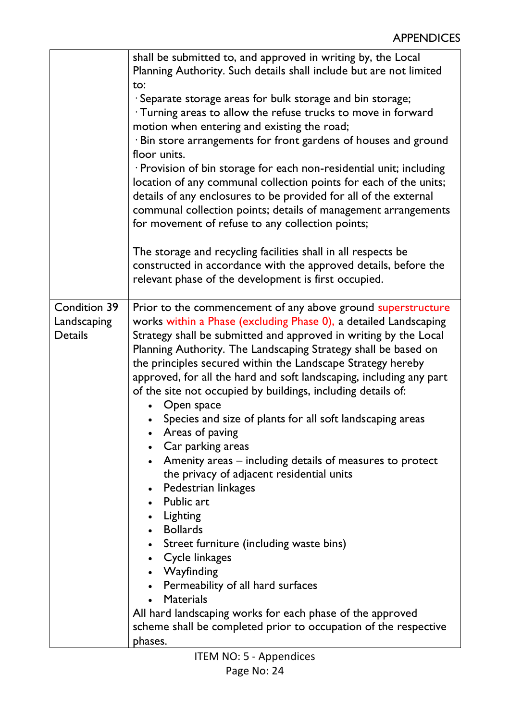|                                                      | shall be submitted to, and approved in writing by, the Local<br>Planning Authority. Such details shall include but are not limited<br>to:<br>· Separate storage areas for bulk storage and bin storage;<br>· Turning areas to allow the refuse trucks to move in forward<br>motion when entering and existing the road;<br>· Bin store arrangements for front gardens of houses and ground<br>floor units.<br>· Provision of bin storage for each non-residential unit; including<br>location of any communal collection points for each of the units;<br>details of any enclosures to be provided for all of the external<br>communal collection points; details of management arrangements<br>for movement of refuse to any collection points;                                                                                                                                                                                                                                                                                                                                               |
|------------------------------------------------------|------------------------------------------------------------------------------------------------------------------------------------------------------------------------------------------------------------------------------------------------------------------------------------------------------------------------------------------------------------------------------------------------------------------------------------------------------------------------------------------------------------------------------------------------------------------------------------------------------------------------------------------------------------------------------------------------------------------------------------------------------------------------------------------------------------------------------------------------------------------------------------------------------------------------------------------------------------------------------------------------------------------------------------------------------------------------------------------------|
|                                                      | The storage and recycling facilities shall in all respects be<br>constructed in accordance with the approved details, before the<br>relevant phase of the development is first occupied.                                                                                                                                                                                                                                                                                                                                                                                                                                                                                                                                                                                                                                                                                                                                                                                                                                                                                                       |
| <b>Condition 39</b><br>Landscaping<br><b>Details</b> | Prior to the commencement of any above ground superstructure<br>works within a Phase (excluding Phase 0), a detailed Landscaping<br>Strategy shall be submitted and approved in writing by the Local<br>Planning Authority. The Landscaping Strategy shall be based on<br>the principles secured within the Landscape Strategy hereby<br>approved, for all the hard and soft landscaping, including any part<br>of the site not occupied by buildings, including details of:<br>Open space<br>Species and size of plants for all soft landscaping areas<br>Areas of paving<br>Car parking areas<br>$\bullet$<br>Amenity areas – including details of measures to protect<br>the privacy of adjacent residential units<br>• Pedestrian linkages<br>• Public art<br>• Lighting<br>• Bollards<br>• Street furniture (including waste bins)<br>• Cycle linkages<br>• Wayfinding<br>• Permeability of all hard surfaces<br><b>Materials</b><br>$\bullet$<br>All hard landscaping works for each phase of the approved<br>scheme shall be completed prior to occupation of the respective<br>phases. |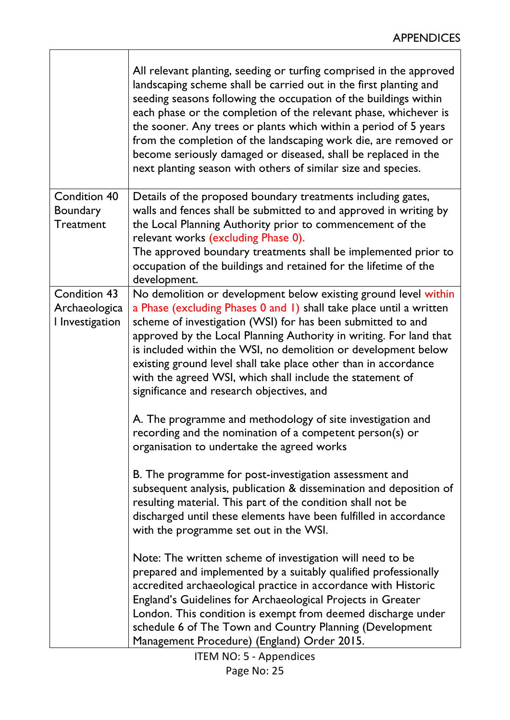٦

|                                                            | All relevant planting, seeding or turfing comprised in the approved<br>landscaping scheme shall be carried out in the first planting and<br>seeding seasons following the occupation of the buildings within<br>each phase or the completion of the relevant phase, whichever is<br>the sooner. Any trees or plants which within a period of 5 years<br>from the completion of the landscaping work die, are removed or<br>become seriously damaged or diseased, shall be replaced in the<br>next planting season with others of similar size and species. |
|------------------------------------------------------------|------------------------------------------------------------------------------------------------------------------------------------------------------------------------------------------------------------------------------------------------------------------------------------------------------------------------------------------------------------------------------------------------------------------------------------------------------------------------------------------------------------------------------------------------------------|
| <b>Condition 40</b><br><b>Boundary</b><br><b>Treatment</b> | Details of the proposed boundary treatments including gates,<br>walls and fences shall be submitted to and approved in writing by<br>the Local Planning Authority prior to commencement of the<br>relevant works (excluding Phase 0).<br>The approved boundary treatments shall be implemented prior to<br>occupation of the buildings and retained for the lifetime of the<br>development.                                                                                                                                                                |
| <b>Condition 43</b><br>Archaeologica<br>I Investigation    | No demolition or development below existing ground level within<br>a Phase (excluding Phases 0 and 1) shall take place until a written<br>scheme of investigation (WSI) for has been submitted to and<br>approved by the Local Planning Authority in writing. For land that<br>is included within the WSI, no demolition or development below<br>existing ground level shall take place other than in accordance<br>with the agreed WSI, which shall include the statement of<br>significance and research objectives, and                                 |
|                                                            | A. The programme and methodology of site investigation and<br>recording and the nomination of a competent person(s) or<br>organisation to undertake the agreed works                                                                                                                                                                                                                                                                                                                                                                                       |
|                                                            | B. The programme for post-investigation assessment and<br>subsequent analysis, publication & dissemination and deposition of<br>resulting material. This part of the condition shall not be<br>discharged until these elements have been fulfilled in accordance<br>with the programme set out in the WSI.                                                                                                                                                                                                                                                 |
|                                                            | Note: The written scheme of investigation will need to be<br>prepared and implemented by a suitably qualified professionally<br>accredited archaeological practice in accordance with Historic<br>England's Guidelines for Archaeological Projects in Greater<br>London. This condition is exempt from deemed discharge under<br>schedule 6 of The Town and Country Planning (Development<br>Management Procedure) (England) Order 2015.                                                                                                                   |

 $\overline{\Gamma}$ 

T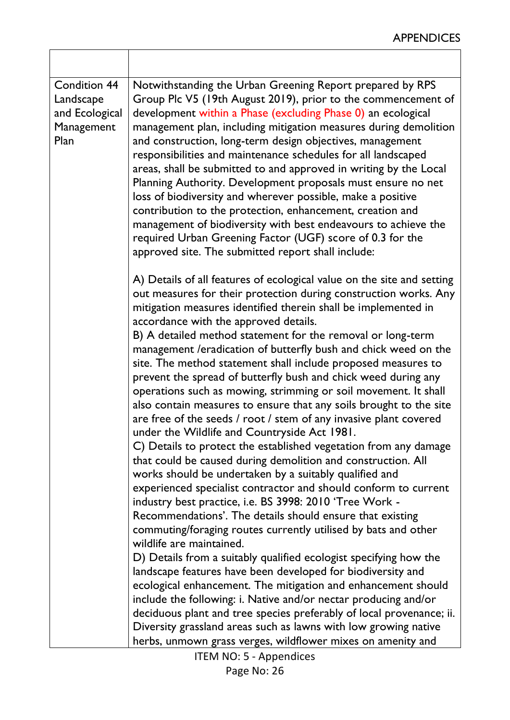| <b>Condition 44</b><br>Landscape<br>and Ecological<br>Management<br>Plan | Notwithstanding the Urban Greening Report prepared by RPS<br>Group Plc V5 (19th August 2019), prior to the commencement of<br>development within a Phase (excluding Phase 0) an ecological<br>management plan, including mitigation measures during demolition<br>and construction, long-term design objectives, management<br>responsibilities and maintenance schedules for all landscaped<br>areas, shall be submitted to and approved in writing by the Local<br>Planning Authority. Development proposals must ensure no net<br>loss of biodiversity and wherever possible, make a positive<br>contribution to the protection, enhancement, creation and<br>management of biodiversity with best endeavours to achieve the<br>required Urban Greening Factor (UGF) score of 0.3 for the<br>approved site. The submitted report shall include:                                                                                                                                                                                                                                                                                                                                |
|--------------------------------------------------------------------------|-----------------------------------------------------------------------------------------------------------------------------------------------------------------------------------------------------------------------------------------------------------------------------------------------------------------------------------------------------------------------------------------------------------------------------------------------------------------------------------------------------------------------------------------------------------------------------------------------------------------------------------------------------------------------------------------------------------------------------------------------------------------------------------------------------------------------------------------------------------------------------------------------------------------------------------------------------------------------------------------------------------------------------------------------------------------------------------------------------------------------------------------------------------------------------------|
|                                                                          | A) Details of all features of ecological value on the site and setting<br>out measures for their protection during construction works. Any<br>mitigation measures identified therein shall be implemented in<br>accordance with the approved details.<br>B) A detailed method statement for the removal or long-term<br>management /eradication of butterfly bush and chick weed on the<br>site. The method statement shall include proposed measures to<br>prevent the spread of butterfly bush and chick weed during any<br>operations such as mowing, strimming or soil movement. It shall<br>also contain measures to ensure that any soils brought to the site<br>are free of the seeds / root / stem of any invasive plant covered<br>under the Wildlife and Countryside Act 1981.<br>C) Details to protect the established vegetation from any damage<br>that could be caused during demolition and construction. All<br>works should be undertaken by a suitably qualified and<br>experienced specialist contractor and should conform to current<br>industry best practice, i.e. BS 3998: 2010 'Tree Work -<br>Recommendations'. The details should ensure that existing |
|                                                                          | commuting/foraging routes currently utilised by bats and other<br>wildlife are maintained.<br>D) Details from a suitably qualified ecologist specifying how the<br>landscape features have been developed for biodiversity and<br>ecological enhancement. The mitigation and enhancement should<br>include the following: i. Native and/or nectar producing and/or<br>deciduous plant and tree species preferably of local provenance; ii.<br>Diversity grassland areas such as lawns with low growing native<br>herbs, unmown grass verges, wildflower mixes on amenity and                                                                                                                                                                                                                                                                                                                                                                                                                                                                                                                                                                                                      |